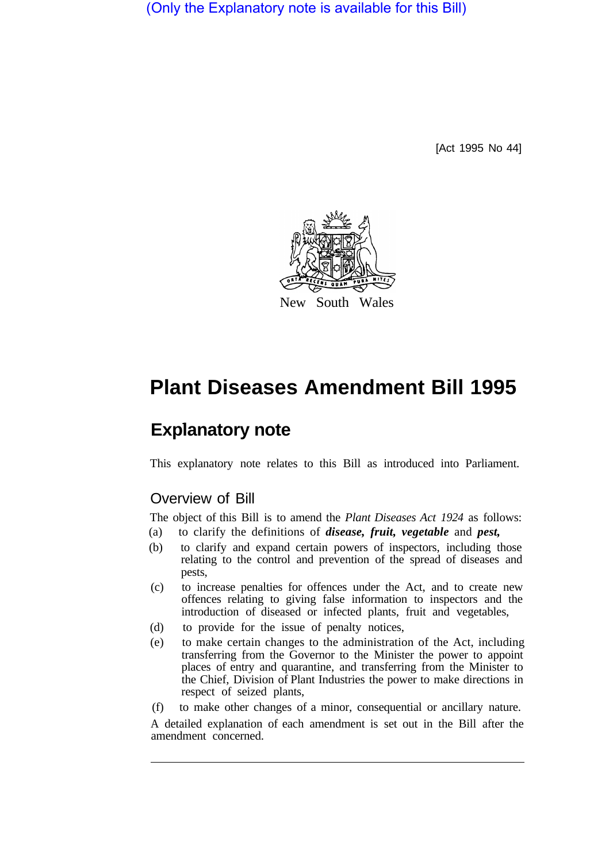(Only the Explanatory note is available for this Bill)

[Act 1995 No 44]



## **Plant Diseases Amendment Bill 1995**

## **Explanatory note**

This explanatory note relates to this Bill as introduced into Parliament.

## Overview of Bill

The object of this Bill is to amend the *Plant Diseases Act 1924* as follows:

- (a) to clarify the definitions of *disease, fruit, vegetable* and *pest,*
- (b) to clarify and expand certain powers of inspectors, including those relating to the control and prevention of the spread of diseases and pests,
- (c) to increase penalties for offences under the Act, and to create new offences relating to giving false information to inspectors and the introduction of diseased or infected plants, fruit and vegetables,
- (d) to provide for the issue of penalty notices,
- (e) to make certain changes to the administration of the Act, including transferring from the Governor to the Minister the power to appoint places of entry and quarantine, and transferring from the Minister to the Chief, Division of Plant Industries the power to make directions in respect of seized plants,
- (f) to make other changes of a minor, consequential or ancillary nature.

A detailed explanation of each amendment is set out in the Bill after the amendment concerned.